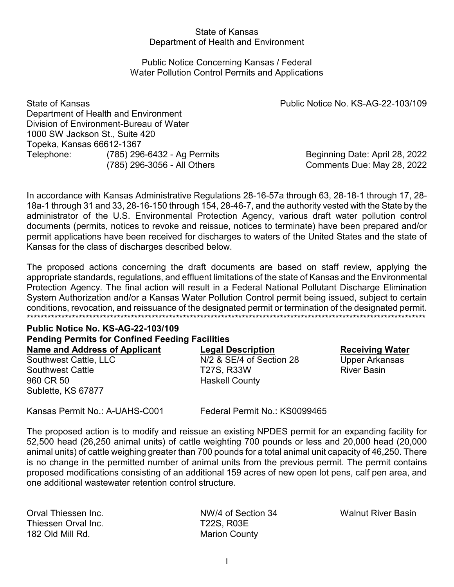## State of Kansas Department of Health and Environment

## Public Notice Concerning Kansas / Federal Water Pollution Control Permits and Applications

State of Kansas Public Notice No. KS-AG-22-103/109 Department of Health and Environment Division of Environment-Bureau of Water 1000 SW Jackson St., Suite 420 Topeka, Kansas 66612-1367 Telephone: (785) 296-6432 - Ag Permits Beginning Date: April 28, 2022

(785) 296-3056 - All Others Comments Due: May 28, 2022

In accordance with Kansas Administrative Regulations 28-16-57a through 63, 28-18-1 through 17, 28- 18a-1 through 31 and 33, 28-16-150 through 154, 28-46-7, and the authority vested with the State by the administrator of the U.S. Environmental Protection Agency, various draft water pollution control documents (permits, notices to revoke and reissue, notices to terminate) have been prepared and/or permit applications have been received for discharges to waters of the United States and the state of Kansas for the class of discharges described below.

The proposed actions concerning the draft documents are based on staff review, applying the appropriate standards, regulations, and effluent limitations of the state of Kansas and the Environmental Protection Agency. The final action will result in a Federal National Pollutant Discharge Elimination System Authorization and/or a Kansas Water Pollution Control permit being issued, subject to certain conditions, revocation, and reissuance of the designated permit or termination of the designated permit. \*\*\*\*\*\*\*\*\*\*\*\*\*\*\*\*\*\*\*\*\*\*\*\*\*\*\*\*\*\*\*\*\*\*\*\*\*\*\*\*\*\*\*\*\*\*\*\*\*\*\*\*\*\*\*\*\*\*\*\*\*\*\*\*\*\*\*\*\*\*\*\*\*\*\*\*\*\*\*\*\*\*\*\*\*\*\*\*\*\*\*\*\*\*\*\*\*\*\*\*\*\*\*\*\*\*\*\*\*\*\*\*\*\*\*

# **Public Notice No. KS-AG-22-103/109 Pending Permits for Confined Feeding Facilities**

960 CR 50 Haskell County Sublette, KS 67877

**Name and Address of Applicant**<br> **Legal Description**<br>  $N/2$  & SE/4 of Section 28 **Material Club Receiving Water**<br>
Upper Arkansas Southwest Cattle, LLC M/2 & SE/4 of Section 28 Upper Arkansas Southwest Cattle The T27S, R33W River Basin

Kansas Permit No.: A-UAHS-C001 Federal Permit No.: KS0099465

The proposed action is to modify and reissue an existing NPDES permit for an expanding facility for 52,500 head (26,250 animal units) of cattle weighting 700 pounds or less and 20,000 head (20,000 animal units) of cattle weighing greater than 700 pounds for a total animal unit capacity of 46,250. There is no change in the permitted number of animal units from the previous permit. The permit contains proposed modifications consisting of an additional 159 acres of new open lot pens, calf pen area, and one additional wastewater retention control structure.

Thiessen Orval Inc. Thiessen Orval Inc. 182 Old Mill Rd. Marion County

Orval Thiessen Inc. NW/4 of Section 34 Walnut River Basin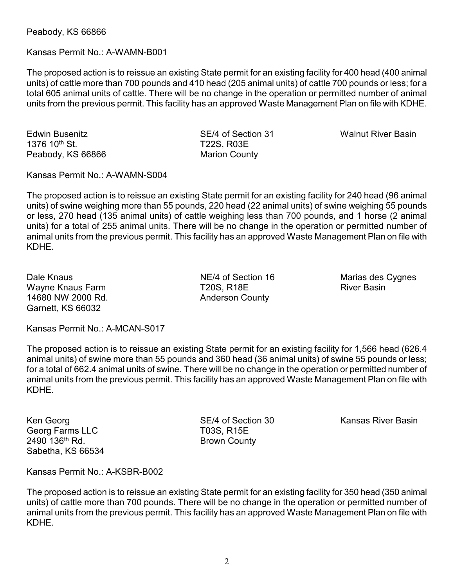Peabody, KS 66866

## Kansas Permit No.: A-WAMN-B001

The proposed action is to reissue an existing State permit for an existing facility for 400 head (400 animal units) of cattle more than 700 pounds and 410 head (205 animal units) of cattle 700 pounds or less; for a total 605 animal units of cattle. There will be no change in the operation or permitted number of animal units from the previous permit. This facility has an approved Waste Management Plan on file with KDHE.

Edwin Busenitz SE/4 of Section 31 Walnut River Basin 1376 10<sup>th</sup> St. **T22S, R03E** Peabody, KS 66866 Marion County

Kansas Permit No.: A-WAMN-S004

The proposed action is to reissue an existing State permit for an existing facility for 240 head (96 animal units) of swine weighing more than 55 pounds, 220 head (22 animal units) of swine weighing 55 pounds or less, 270 head (135 animal units) of cattle weighing less than 700 pounds, and 1 horse (2 animal units) for a total of 255 animal units. There will be no change in the operation or permitted number of animal units from the previous permit. This facility has an approved Waste Management Plan on file with KDHE.

Dale Knaus **NE/4 of Section 16** Marias des Cygnes Wayne Knaus Farm T20S, R18E River Basin 14680 NW 2000 Rd. **Anderson County** Garnett, KS 66032

Kansas Permit No.: A-MCAN-S017

The proposed action is to reissue an existing State permit for an existing facility for 1,566 head (626.4 animal units) of swine more than 55 pounds and 360 head (36 animal units) of swine 55 pounds or less; for a total of 662.4 animal units of swine. There will be no change in the operation or permitted number of animal units from the previous permit. This facility has an approved Waste Management Plan on file with KDHE.

Georg Farms LLC T03S, R15E 2490 136<sup>th</sup> Rd. Brown County Sabetha, KS 66534

Ken Georg **SE/4 of Section 30** Kansas River Basin

Kansas Permit No.: A-KSBR-B002

The proposed action is to reissue an existing State permit for an existing facility for 350 head (350 animal units) of cattle more than 700 pounds. There will be no change in the operation or permitted number of animal units from the previous permit. This facility has an approved Waste Management Plan on file with KDHE.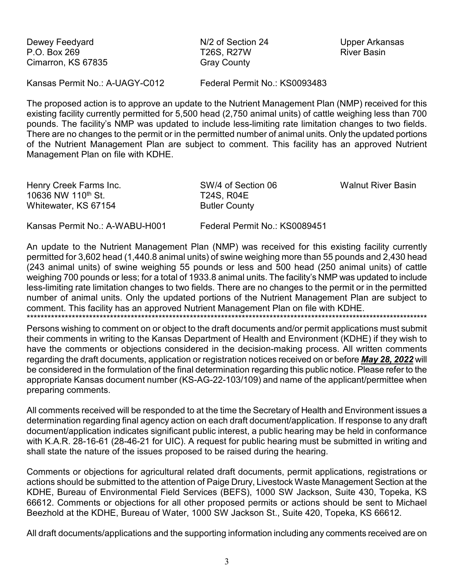Dewey Feedyard P.O. Box 269 Cimarron, KS 67835 N/2 of Section 24 **T26S, R27W Gray County** 

**Upper Arkansas River Basin** 

Kansas Permit No.: A-UAGY-C012

Federal Permit No.: KS0093483

The proposed action is to approve an update to the Nutrient Management Plan (NMP) received for this existing facility currently permitted for 5,500 head (2,750 animal units) of cattle weighing less than 700 pounds. The facility's NMP was updated to include less-limiting rate limitation changes to two fields. There are no changes to the permit or in the permitted number of animal units. Only the updated portions of the Nutrient Management Plan are subject to comment. This facility has an approved Nutrient Management Plan on file with KDHE.

| Henry Creek Farms Inc.         | SW/4 of Section 06   | <b>Walnut River Basin</b> |
|--------------------------------|----------------------|---------------------------|
| 10636 NW 110 <sup>th</sup> St. | <b>T24S, R04E</b>    |                           |
| Whitewater, KS 67154           | <b>Butler County</b> |                           |
| . .                            |                      |                           |

Kansas Permit No.: A-WABU-H001

Federal Permit No.: KS0089451

An update to the Nutrient Management Plan (NMP) was received for this existing facility currently permitted for 3,602 head (1,440.8 animal units) of swine weighing more than 55 pounds and 2,430 head (243 animal units) of swine weighing 55 pounds or less and 500 head (250 animal units) of cattle weighing 700 pounds or less; for a total of 1933.8 animal units. The facility's NMP was updated to include less-limiting rate limitation changes to two fields. There are no changes to the permit or in the permitted number of animal units. Only the updated portions of the Nutrient Management Plan are subject to comment. This facility has an approved Nutrient Management Plan on file with KDHE.

Persons wishing to comment on or object to the draft documents and/or permit applications must submit their comments in writing to the Kansas Department of Health and Environment (KDHE) if they wish to have the comments or objections considered in the decision-making process. All written comments regarding the draft documents, application or registration notices received on or before May 28, 2022 will be considered in the formulation of the final determination regarding this public notice. Please refer to the appropriate Kansas document number (KS-AG-22-103/109) and name of the applicant/permittee when preparing comments.

All comments received will be responded to at the time the Secretary of Health and Environment issues a determination regarding final agency action on each draft document/application. If response to any draft document/application indicates significant public interest, a public hearing may be held in conformance with K.A.R. 28-16-61 (28-46-21 for UIC). A request for public hearing must be submitted in writing and shall state the nature of the issues proposed to be raised during the hearing.

Comments or objections for agricultural related draft documents, permit applications, registrations or actions should be submitted to the attention of Paige Drury, Livestock Waste Management Section at the KDHE, Bureau of Environmental Field Services (BEFS), 1000 SW Jackson, Suite 430, Topeka, KS 66612. Comments or objections for all other proposed permits or actions should be sent to Michael Beezhold at the KDHE, Bureau of Water, 1000 SW Jackson St., Suite 420, Topeka, KS 66612.

All draft documents/applications and the supporting information including any comments received are on